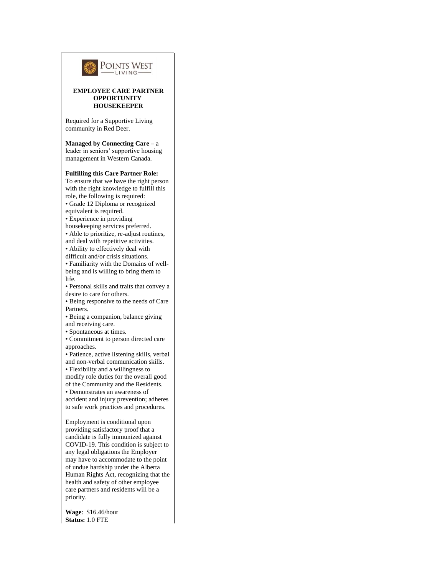

**Wage**: \$16.46/hour **Status:** 1.0 FTE